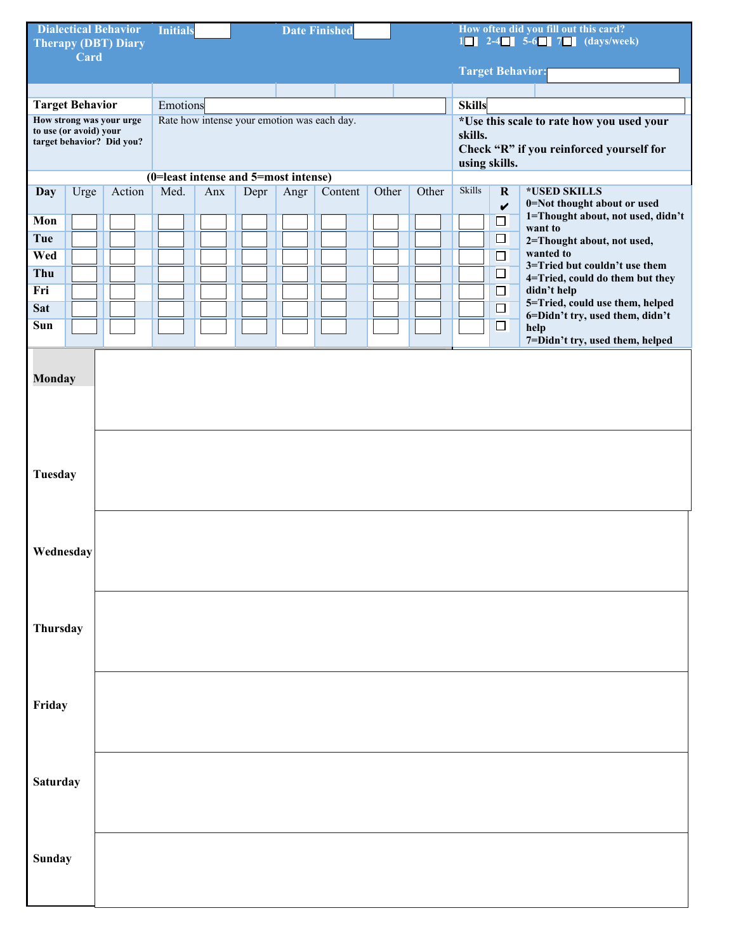| <b>Dialectical Behavior</b><br><b>Therapy (DBT) Diary</b> |      | <b>Initials</b><br><b>Date Finished</b> |                                                         |     |      |      |         | How often did you fill out this card?<br>$1 \blacksquare$ 2-4 $\blacksquare$ 5-6 $\blacksquare$ 7 $\blacksquare$ (days/week) |                         |                                                            |                                           |                                                |  |  |  |  |  |
|-----------------------------------------------------------|------|-----------------------------------------|---------------------------------------------------------|-----|------|------|---------|------------------------------------------------------------------------------------------------------------------------------|-------------------------|------------------------------------------------------------|-------------------------------------------|------------------------------------------------|--|--|--|--|--|
|                                                           | Card |                                         |                                                         |     |      |      |         |                                                                                                                              |                         |                                                            |                                           |                                                |  |  |  |  |  |
|                                                           |      |                                         |                                                         |     |      |      |         |                                                                                                                              | <b>Target Behavior:</b> |                                                            |                                           |                                                |  |  |  |  |  |
|                                                           |      |                                         |                                                         |     |      |      |         |                                                                                                                              |                         |                                                            |                                           |                                                |  |  |  |  |  |
| <b>Target Behavior</b><br>How strong was your urge        |      |                                         | Emotions<br>Rate how intense your emotion was each day. |     |      |      |         |                                                                                                                              |                         | <b>Skills</b><br>*Use this scale to rate how you used your |                                           |                                                |  |  |  |  |  |
| to use (or avoid) your                                    |      |                                         |                                                         |     |      |      |         |                                                                                                                              |                         | skills.                                                    |                                           |                                                |  |  |  |  |  |
| target behavior? Did you?                                 |      |                                         |                                                         |     |      |      |         |                                                                                                                              |                         | Check "R" if you reinforced yourself for<br>using skills.  |                                           |                                                |  |  |  |  |  |
|                                                           |      |                                         | (0=least intense and 5=most intense)                    |     |      |      |         |                                                                                                                              |                         |                                                            |                                           |                                                |  |  |  |  |  |
| Day                                                       | Urge | Action                                  | Med.                                                    | Anx | Depr | Angr | Content | Other                                                                                                                        | Other                   | <b>Skills</b>                                              | $\mathbf R$<br>$\boldsymbol{\mathcal{U}}$ | *USED SKILLS<br>0=Not thought about or used    |  |  |  |  |  |
| Mon                                                       |      |                                         |                                                         |     |      |      |         |                                                                                                                              |                         |                                                            | $\Box$                                    | 1=Thought about, not used, didn't<br>want to   |  |  |  |  |  |
| <b>Tue</b>                                                |      |                                         |                                                         |     |      |      |         |                                                                                                                              |                         |                                                            | $\Box$                                    | 2=Thought about, not used,                     |  |  |  |  |  |
| Wed                                                       |      |                                         |                                                         |     |      |      |         |                                                                                                                              |                         |                                                            | $\Box$                                    | wanted to<br>3=Tried but couldn't use them     |  |  |  |  |  |
| Thu                                                       |      |                                         |                                                         |     |      |      |         |                                                                                                                              |                         |                                                            | $\Box$                                    | 4=Tried, could do them but they                |  |  |  |  |  |
| Fri                                                       |      |                                         |                                                         |     |      |      |         |                                                                                                                              |                         |                                                            | $\Box$                                    | didn't help<br>5=Tried, could use them, helped |  |  |  |  |  |
| <b>Sat</b>                                                |      |                                         |                                                         |     |      |      |         |                                                                                                                              |                         |                                                            | $\Box$                                    | 6=Didn't try, used them, didn't                |  |  |  |  |  |
| Sun                                                       |      |                                         |                                                         |     |      |      |         |                                                                                                                              |                         |                                                            | $\Box$                                    | help<br>7=Didn't try, used them, helped        |  |  |  |  |  |
|                                                           |      |                                         |                                                         |     |      |      |         |                                                                                                                              |                         |                                                            |                                           |                                                |  |  |  |  |  |
| <b>Monday</b>                                             |      |                                         |                                                         |     |      |      |         |                                                                                                                              |                         |                                                            |                                           |                                                |  |  |  |  |  |
|                                                           |      |                                         |                                                         |     |      |      |         |                                                                                                                              |                         |                                                            |                                           |                                                |  |  |  |  |  |
|                                                           |      |                                         |                                                         |     |      |      |         |                                                                                                                              |                         |                                                            |                                           |                                                |  |  |  |  |  |
|                                                           |      |                                         |                                                         |     |      |      |         |                                                                                                                              |                         |                                                            |                                           |                                                |  |  |  |  |  |
|                                                           |      |                                         |                                                         |     |      |      |         |                                                                                                                              |                         |                                                            |                                           |                                                |  |  |  |  |  |
| Tuesday                                                   |      |                                         |                                                         |     |      |      |         |                                                                                                                              |                         |                                                            |                                           |                                                |  |  |  |  |  |
|                                                           |      |                                         |                                                         |     |      |      |         |                                                                                                                              |                         |                                                            |                                           |                                                |  |  |  |  |  |
|                                                           |      |                                         |                                                         |     |      |      |         |                                                                                                                              |                         |                                                            |                                           |                                                |  |  |  |  |  |
|                                                           |      |                                         |                                                         |     |      |      |         |                                                                                                                              |                         |                                                            |                                           |                                                |  |  |  |  |  |
| Wednesday                                                 |      |                                         |                                                         |     |      |      |         |                                                                                                                              |                         |                                                            |                                           |                                                |  |  |  |  |  |
|                                                           |      |                                         |                                                         |     |      |      |         |                                                                                                                              |                         |                                                            |                                           |                                                |  |  |  |  |  |
|                                                           |      |                                         |                                                         |     |      |      |         |                                                                                                                              |                         |                                                            |                                           |                                                |  |  |  |  |  |
|                                                           |      |                                         |                                                         |     |      |      |         |                                                                                                                              |                         |                                                            |                                           |                                                |  |  |  |  |  |
| Thursday                                                  |      |                                         |                                                         |     |      |      |         |                                                                                                                              |                         |                                                            |                                           |                                                |  |  |  |  |  |
|                                                           |      |                                         |                                                         |     |      |      |         |                                                                                                                              |                         |                                                            |                                           |                                                |  |  |  |  |  |
|                                                           |      |                                         |                                                         |     |      |      |         |                                                                                                                              |                         |                                                            |                                           |                                                |  |  |  |  |  |
|                                                           |      |                                         |                                                         |     |      |      |         |                                                                                                                              |                         |                                                            |                                           |                                                |  |  |  |  |  |
| Friday                                                    |      |                                         |                                                         |     |      |      |         |                                                                                                                              |                         |                                                            |                                           |                                                |  |  |  |  |  |
|                                                           |      |                                         |                                                         |     |      |      |         |                                                                                                                              |                         |                                                            |                                           |                                                |  |  |  |  |  |
|                                                           |      |                                         |                                                         |     |      |      |         |                                                                                                                              |                         |                                                            |                                           |                                                |  |  |  |  |  |
|                                                           |      |                                         |                                                         |     |      |      |         |                                                                                                                              |                         |                                                            |                                           |                                                |  |  |  |  |  |
| Saturday                                                  |      |                                         |                                                         |     |      |      |         |                                                                                                                              |                         |                                                            |                                           |                                                |  |  |  |  |  |
|                                                           |      |                                         |                                                         |     |      |      |         |                                                                                                                              |                         |                                                            |                                           |                                                |  |  |  |  |  |
|                                                           |      |                                         |                                                         |     |      |      |         |                                                                                                                              |                         |                                                            |                                           |                                                |  |  |  |  |  |
|                                                           |      |                                         |                                                         |     |      |      |         |                                                                                                                              |                         |                                                            |                                           |                                                |  |  |  |  |  |
| Sunday                                                    |      |                                         |                                                         |     |      |      |         |                                                                                                                              |                         |                                                            |                                           |                                                |  |  |  |  |  |
|                                                           |      |                                         |                                                         |     |      |      |         |                                                                                                                              |                         |                                                            |                                           |                                                |  |  |  |  |  |
|                                                           |      |                                         |                                                         |     |      |      |         |                                                                                                                              |                         |                                                            |                                           |                                                |  |  |  |  |  |